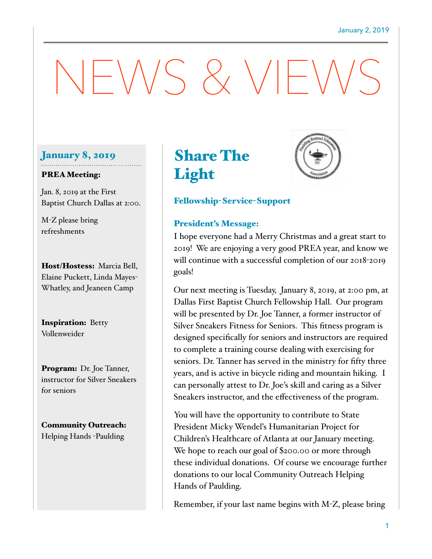# NEWS & VIEWS

## January 8, 2019

#### PREA Meeting:

Jan. 8, 2019 at the First Baptist Church Dallas at 2:00.

M-Z please bring refreshments

Host/Hostess: Marcia Bell, Elaine Puckett, Linda Mayes-Whatley, and Jeaneen Camp

Inspiration: Betty Vollenweider

Program: Dr. Joe Tanner, instructor for Silver Sneakers for seniors

Community Outreach: Helping Hands -Paulding

# Share The Light



## Fellowship-Service-Support

### President's Message:

I hope everyone had a Merry Christmas and a great start to 2019! We are enjoying a very good PREA year, and know we will continue with a successful completion of our 2018-2019 goals!

Our next meeting is Tuesday, January 8, 2019, at 2:00 pm, at Dallas First Baptist Church Fellowship Hall. Our program will be presented by Dr. Joe Tanner, a former instructor of Silver Sneakers Fitness for Seniors. This fitness program is designed specifically for seniors and instructors are required to complete a training course dealing with exercising for seniors. Dr. Tanner has served in the ministry for fifty three years, and is active in bicycle riding and mountain hiking. I can personally attest to Dr. Joe's skill and caring as a Silver Sneakers instructor, and the effectiveness of the program.

You will have the opportunity to contribute to State President Micky Wendel's Humanitarian Project for Children's Healthcare of Atlanta at our January meeting. We hope to reach our goal of \$200.00 or more through these individual donations. Of course we encourage further donations to our local Community Outreach Helping Hands of Paulding.

Remember, if your last name begins with M-Z, please bring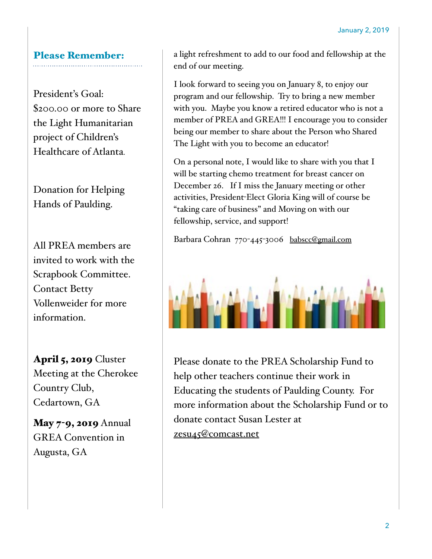## Please Remember:

President's Goal: \$200.00 or more to Share the Light Humanitarian project of Children's Healthcare of Atlanta.

Donation for Helping Hands of Paulding.

All PREA members are invited to work with the Scrapbook Committee. Contact Betty Vollenweider for more information.

April 5, 2019 Cluster Meeting at the Cherokee Country Club, Cedartown, GA

May 7-9, 2019 Annual GREA Convention in Augusta, GA

a light refreshment to add to our food and fellowship at the end of our meeting.

I look forward to seeing you on January 8, to enjoy our program and our fellowship. Try to bring a new member with you. Maybe you know a retired educator who is not a member of PREA and GREA!!! I encourage you to consider being our member to share about the Person who Shared The Light with you to become an educator!

On a personal note, I would like to share with you that I will be starting chemo treatment for breast cancer on December 26. If I miss the January meeting or other activities, President-Elect Gloria King will of course be "taking care of business" and Moving on with our fellowship, service, and support!

Barbara Cohran 770-445-3006 babscc@gmail.com



Please donate to the PREA Scholarship Fund to help other teachers continue their work in Educating the students of Paulding County. For more information about the Scholarship Fund or to donate contact Susan Lester at zesu45@comcast.net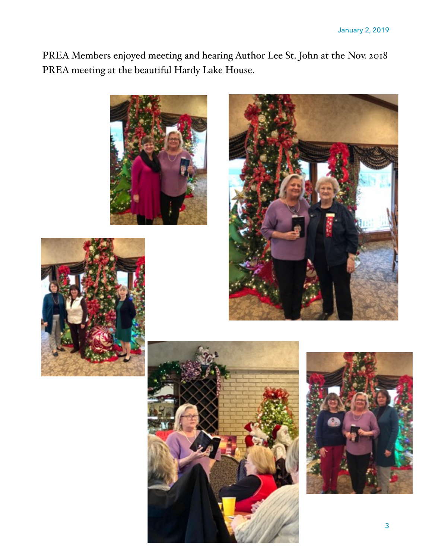PREA Members enjoyed meeting and hearing Author Lee St. John at the Nov. 2018 PREA meeting at the beautiful Hardy Lake House.